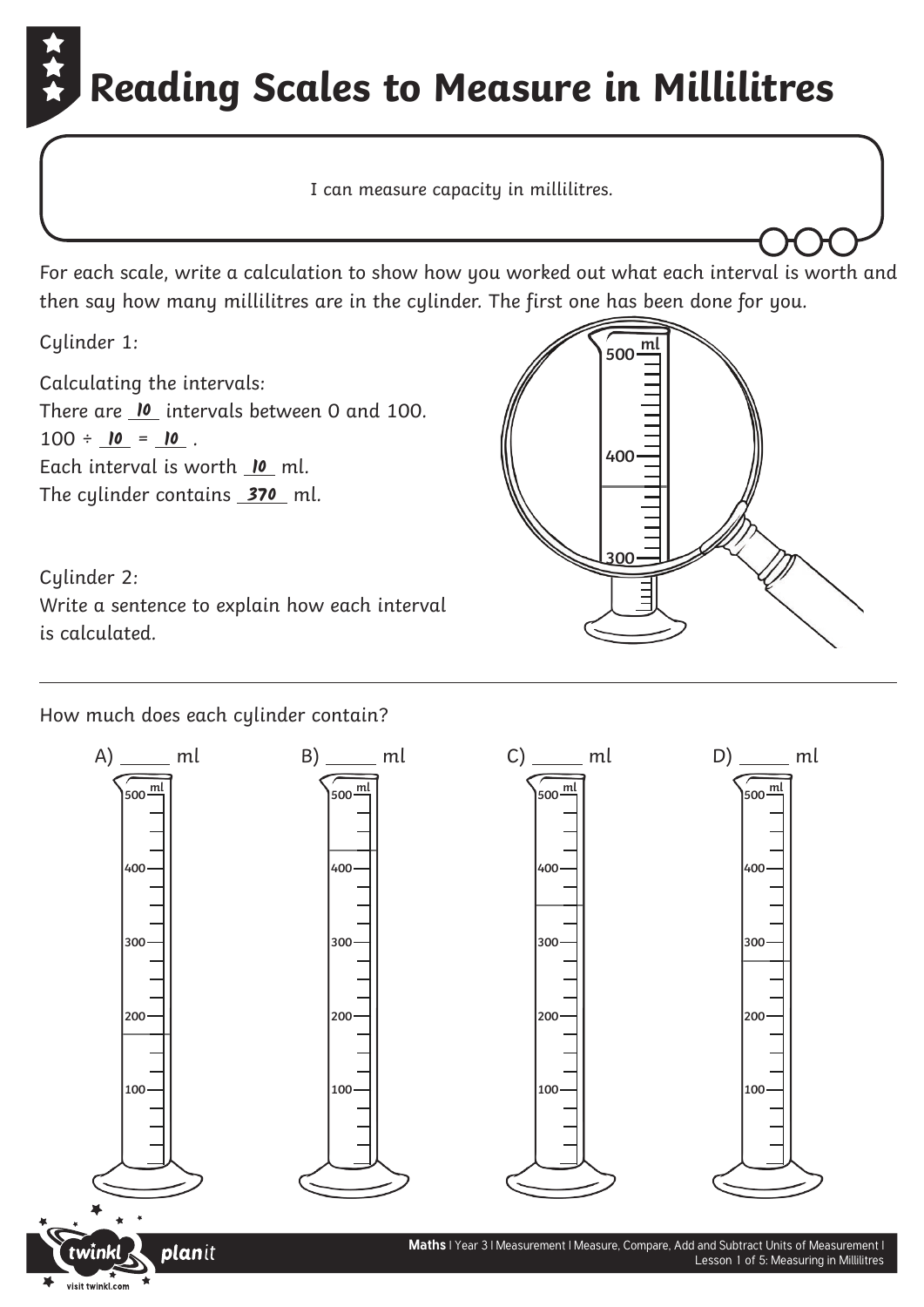## **Reading Scales to Measure in Millilitres**

I can measure capacity in millilitres.

For each scale, write a calculation to show how you worked out what each interval is worth and then say how many millilitres are in the cylinder. The first one has been done for you.

**500**

**ml**

**400**

**300**

Cylinder 1:

Calculating the intervals: There are <u>IO intervals between 0 and 100.</u>  $100 \div \underline{\mathbf{10}} = \underline{\mathbf{10}}$ . Each interval is worth **10** ml. The cylinder contains <u>\_**370**</u> ml.

Cylinder 2: Write a sentence to explain how each interval is calculated.

How much does each cylinder contain?

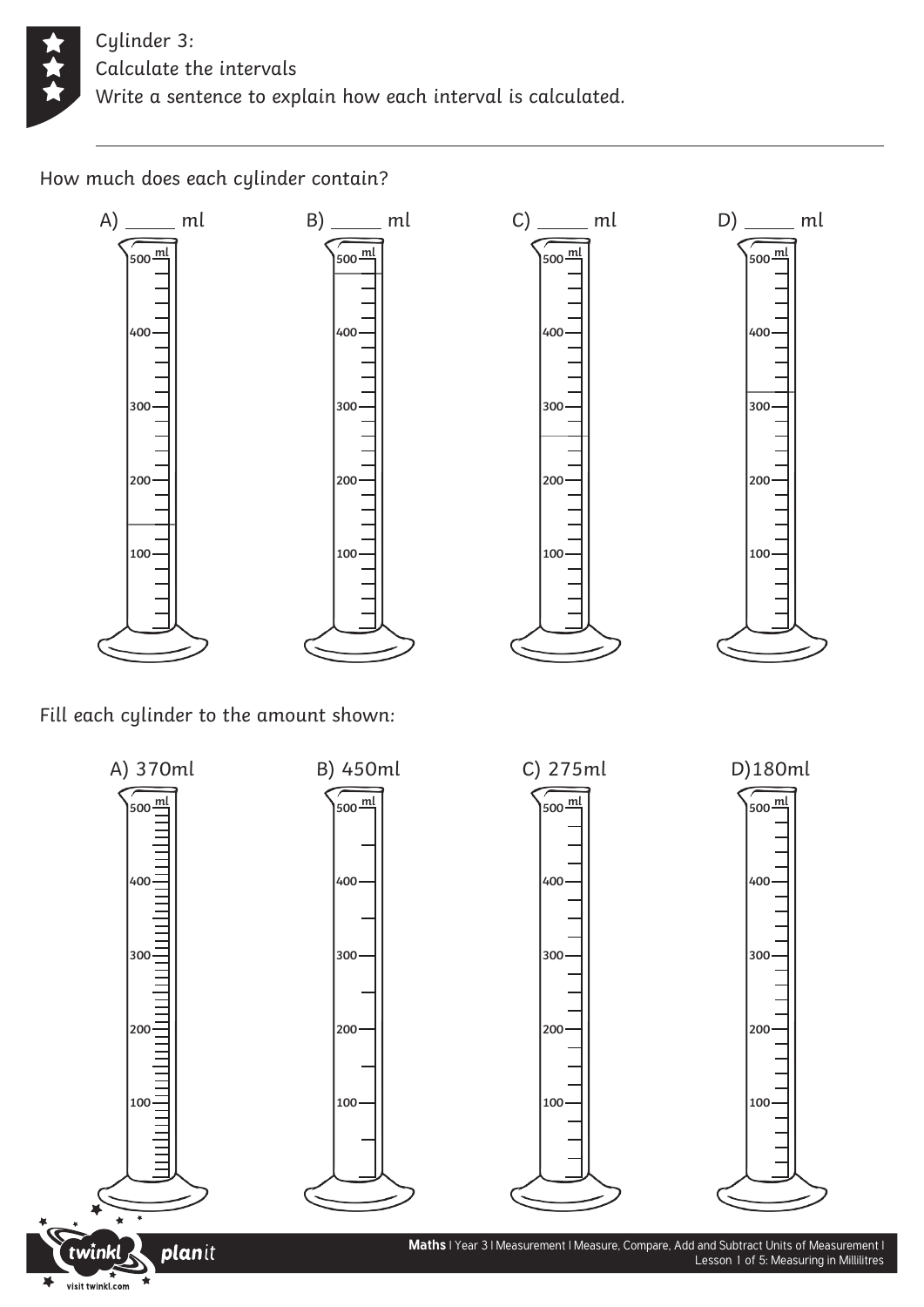

How much does each cylinder contain?



Fill each cylinder to the amount shown:



 $C)$  ml

**ml**

 $D)$  ml

**ml**